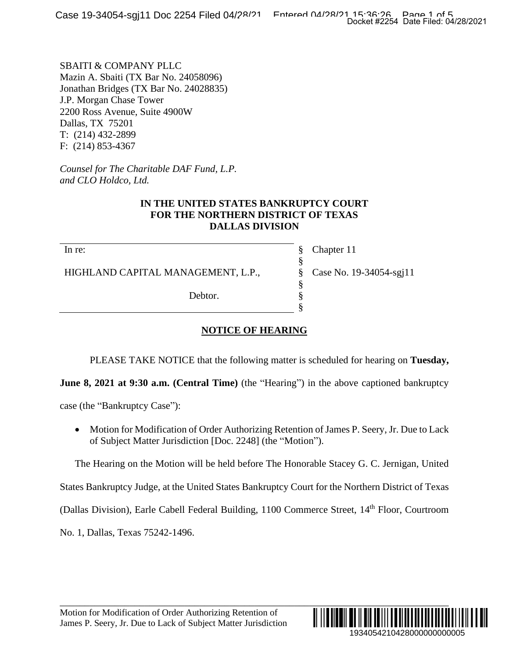SBAITI & COMPANY PLLC Mazin A. Sbaiti (TX Bar No. 24058096) Jonathan Bridges (TX Bar No. 24028835) J.P. Morgan Chase Tower 2200 Ross Avenue, Suite 4900W Dallas, TX 75201 T: (214) 432-2899 F: (214) 853-4367

*Counsel for The Charitable DAF Fund, L.P. and CLO Holdco, Ltd.*

## **IN THE UNITED STATES BANKRUPTCY COURT FOR THE NORTHERN DISTRICT OF TEXAS DALLAS DIVISION**

In re:

HIGHLAND CAPITAL MANAGEMENT, L.P.,

Debtor.

Chapter 11 Case No. 19-34054-sgj11

## **NOTICE OF HEARING**

PLEASE TAKE NOTICE that the following matter is scheduled for hearing on **Tuesday,**

§ § § § § §

**June 8, 2021 at 9:30 a.m. (Central Time)** (the "Hearing") in the above captioned bankruptcy

case (the "Bankruptcy Case"):

• Motion for Modification of Order Authorizing Retention of James P. Seery, Jr. Due to Lack of Subject Matter Jurisdiction [Doc. 2248] (the "Motion").

The Hearing on the Motion will be held before The Honorable Stacey G. C. Jernigan, United

States Bankruptcy Judge, at the United States Bankruptcy Court for the Northern District of Texas

(Dallas Division), Earle Cabell Federal Building, 1100 Commerce Street, 14<sup>th</sup> Floor, Courtroom

\_\_\_\_\_\_\_\_\_\_\_\_\_\_\_\_\_\_\_\_\_\_\_\_\_\_\_\_\_\_\_\_\_\_\_\_\_\_\_\_\_\_\_\_\_\_\_\_\_\_\_\_\_\_\_\_\_\_\_\_\_\_\_\_\_\_\_\_\_\_\_\_\_\_\_\_\_\_

No. 1, Dallas, Texas 75242-1496.

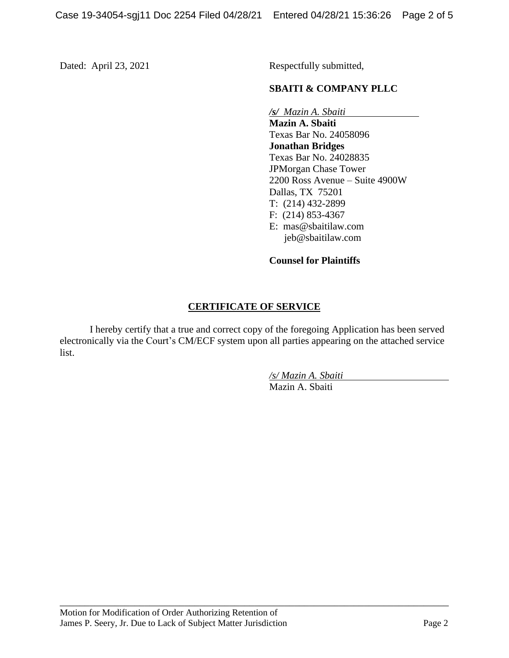Dated: April 23, 2021 Respectfully submitted,

## **SBAITI & COMPANY PLLC**

*/s/**Mazin A. Sbaiti*

**Mazin A. Sbaiti** Texas Bar No. 24058096 **Jonathan Bridges** Texas Bar No. 24028835 JPMorgan Chase Tower 2200 Ross Avenue – Suite 4900W Dallas, TX 75201 T: (214) 432-2899 F: (214) 853-4367 E: [mas@sbaitilaw.com](mailto:mas@sbaitilaw.com) [jeb@sbaitilaw.com](mailto:jeb@sbaitilaw.com)

**Counsel for Plaintiffs**

## **CERTIFICATE OF SERVICE**

I hereby certify that a true and correct copy of the foregoing Application has been served electronically via the Court's CM/ECF system upon all parties appearing on the attached service list.

\_\_\_\_\_\_\_\_\_\_\_\_\_\_\_\_\_\_\_\_\_\_\_\_\_\_\_\_\_\_\_\_\_\_\_\_\_\_\_\_\_\_\_\_\_\_\_\_\_\_\_\_\_\_\_\_\_\_\_\_\_\_\_\_\_\_\_\_\_\_\_\_\_\_\_\_\_\_

*/s/ Mazin A. Sbaiti* Mazin A. Sbaiti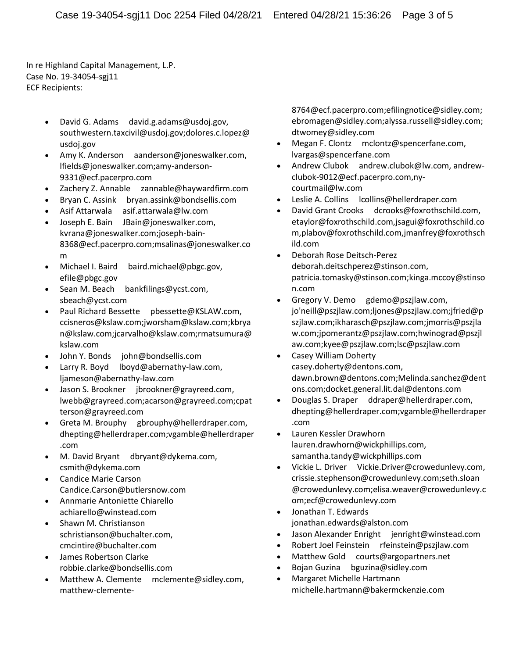In re Highland Capital Management, L.P. Case No. 19-34054-sgj11 ECF Recipients:

- David G. Adams david.g.adams@usdoj.gov, southwestern.taxcivil@usdoj.gov;dolores.c.lopez@ usdoj.gov
- Amy K. Anderson aanderson@joneswalker.com, lfields@joneswalker.com;amy-anderson-9331@ecf.pacerpro.com
- Zachery Z. Annable zannable@haywardfirm.com
- Bryan C. Assink bryan.assink@bondsellis.com
- Asif Attarwala asif.attarwala@lw.com
- Joseph E. Bain JBain@joneswalker.com, kvrana@joneswalker.com;joseph-bain-8368@ecf.pacerpro.com;msalinas@joneswalker.co m
- Michael I. Baird baird.michael@pbgc.gov, efile@pbgc.gov
- Sean M. Beach bankfilings@ycst.com, sbeach@ycst.com
- Paul Richard Bessette pbessette@KSLAW.com, ccisneros@kslaw.com;jworsham@kslaw.com;kbrya n@kslaw.com;jcarvalho@kslaw.com;rmatsumura@ kslaw.com
- John Y. Bonds john@bondsellis.com
- Larry R. Boyd lboyd@abernathy-law.com, ljameson@abernathy-law.com
- Jason S. Brookner jbrookner@grayreed.com, lwebb@grayreed.com;acarson@grayreed.com;cpat terson@grayreed.com
- Greta M. Brouphy gbrouphy@hellerdraper.com, dhepting@hellerdraper.com;vgamble@hellerdraper .com
- M. David Bryant dbryant@dykema.com, csmith@dykema.com
- Candice Marie Carson Candice.Carson@butlersnow.com
- Annmarie Antoniette Chiarello achiarello@winstead.com
- Shawn M. Christianson schristianson@buchalter.com, cmcintire@buchalter.com
- James Robertson Clarke robbie.clarke@bondsellis.com
- Matthew A. Clemente mclemente@sidley.com, matthew-clemente-

8764@ecf.pacerpro.com;efilingnotice@sidley.com; ebromagen@sidley.com;alyssa.russell@sidley.com; dtwomey@sidley.com

- Megan F. Clontz mclontz@spencerfane.com, lvargas@spencerfane.com
- Andrew Clubok andrew.clubok@lw.com, andrewclubok-9012@ecf.pacerpro.com,nycourtmail@lw.com
- Leslie A. Collins lcollins@hellerdraper.com
- David Grant Crooks dcrooks@foxrothschild.com, etaylor@foxrothschild.com,jsagui@foxrothschild.co m,plabov@foxrothschild.com,jmanfrey@foxrothsch ild.com
- Deborah Rose Deitsch-Perez deborah.deitschperez@stinson.com, patricia.tomasky@stinson.com;kinga.mccoy@stinso n.com
- Gregory V. Demo gdemo@pszjlaw.com, jo'neill@pszjlaw.com;ljones@pszjlaw.com;jfried@p szjlaw.com;ikharasch@pszjlaw.com;jmorris@pszjla w.com;jpomerantz@pszjlaw.com;hwinograd@pszjl aw.com;kyee@pszjlaw.com;lsc@pszjlaw.com
- Casey William Doherty casey.doherty@dentons.com, dawn.brown@dentons.com;Melinda.sanchez@dent ons.com;docket.general.lit.dal@dentons.com
- Douglas S. Draper ddraper@hellerdraper.com, dhepting@hellerdraper.com;vgamble@hellerdraper .com
- Lauren Kessler Drawhorn lauren.drawhorn@wickphillips.com, samantha.tandy@wickphillips.com
- Vickie L. Driver Vickie.Driver@crowedunlevy.com, crissie.stephenson@crowedunlevy.com;seth.sloan @crowedunlevy.com;elisa.weaver@crowedunlevy.c om;ecf@crowedunlevy.com
- Jonathan T. Edwards jonathan.edwards@alston.com
- Jason Alexander Enright jenright@winstead.com
- Robert Joel Feinstein rfeinstein@pszjlaw.com
- Matthew Gold courts@argopartners.net
- Bojan Guzina bguzina@sidley.com
- Margaret Michelle Hartmann michelle.hartmann@bakermckenzie.com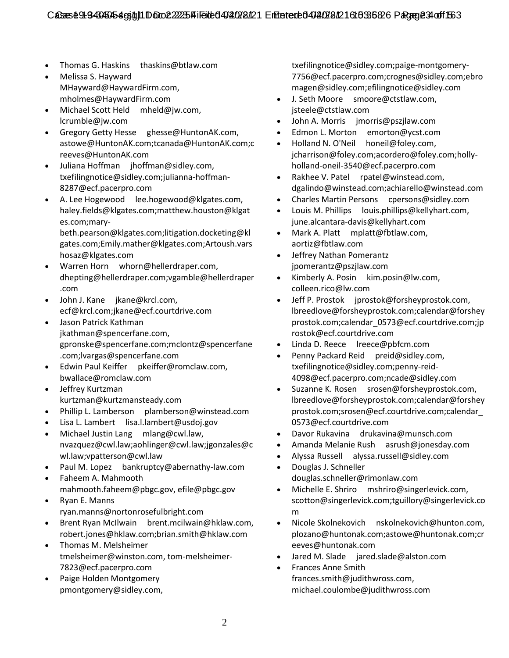- Thomas G. Haskins thaskins@btlaw.com
- Melissa S. Hayward MHayward@HaywardFirm.com, mholmes@HaywardFirm.com
- Michael Scott Held mheld@jw.com, lcrumble@jw.com
- Gregory Getty Hesse ghesse@HuntonAK.com, astowe@HuntonAK.com;tcanada@HuntonAK.com;c reeves@HuntonAK.com
- Juliana Hoffman jhoffman@sidley.com, txefilingnotice@sidley.com;julianna-hoffman-8287@ecf.pacerpro.com
- A. Lee Hogewood lee.hogewood@klgates.com, haley.fields@klgates.com;matthew.houston@klgat es.com;mary-

beth.pearson@klgates.com;litigation.docketing@kl gates.com;Emily.mather@klgates.com;Artoush.vars hosaz@klgates.com

- Warren Horn whorn@hellerdraper.com, dhepting@hellerdraper.com;vgamble@hellerdraper .com
- John J. Kane jkane@krcl.com, ecf@krcl.com;jkane@ecf.courtdrive.com
- Jason Patrick Kathman jkathman@spencerfane.com, gpronske@spencerfane.com;mclontz@spencerfane .com;lvargas@spencerfane.com
- Edwin Paul Keiffer pkeiffer@romclaw.com, bwallace@romclaw.com
- Jeffrey Kurtzman kurtzman@kurtzmansteady.com
- Phillip L. Lamberson plamberson@winstead.com
- Lisa L. Lambert lisa.l.lambert@usdoj.gov
- Michael Justin Lang mlang@cwl.law, nvazquez@cwl.law;aohlinger@cwl.law;jgonzales@c wl.law;vpatterson@cwl.law
- Paul M. Lopez bankruptcy@abernathy-law.com Faheem A. Mahmooth
- mahmooth.faheem@pbgc.gov, efile@pbgc.gov Ryan E. Manns
- ryan.manns@nortonrosefulbright.com
- Brent Ryan McIlwain brent.mcilwain@hklaw.com, robert.jones@hklaw.com;brian.smith@hklaw.com
- Thomas M. Melsheimer tmelsheimer@winston.com, tom-melsheimer-7823@ecf.pacerpro.com
- Paige Holden Montgomery pmontgomery@sidley.com,

txefilingnotice@sidley.com;paige-montgomery-7756@ecf.pacerpro.com;crognes@sidley.com;ebro magen@sidley.com;efilingnotice@sidley.com

- J. Seth Moore smoore@ctstlaw.com, jsteele@ctstlaw.com
- John A. Morris jmorris@pszjlaw.com
- Edmon L. Morton emorton@ycst.com
- Holland N. O'Neil honeil@foley.com, jcharrison@foley.com;acordero@foley.com;hollyholland-oneil-3540@ecf.pacerpro.com
- Rakhee V. Patel rpatel@winstead.com, dgalindo@winstead.com;achiarello@winstead.com
- Charles Martin Persons cpersons@sidley.com
- Louis M. Phillips louis.phillips@kellyhart.com, june.alcantara-davis@kellyhart.com
- Mark A. Platt mplatt@fbtlaw.com, aortiz@fbtlaw.com
- Jeffrey Nathan Pomerantz jpomerantz@pszjlaw.com
- Kimberly A. Posin kim.posin@lw.com, colleen.rico@lw.com
- Jeff P. Prostok jprostok@forsheyprostok.com, lbreedlove@forsheyprostok.com;calendar@forshey prostok.com;calendar\_0573@ecf.courtdrive.com;jp rostok@ecf.courtdrive.com
- Linda D. Reece lreece@pbfcm.com
- Penny Packard Reid preid@sidley.com, txefilingnotice@sidley.com;penny-reid-4098@ecf.pacerpro.com;ncade@sidley.com
- Suzanne K. Rosen srosen@forsheyprostok.com, lbreedlove@forsheyprostok.com;calendar@forshey prostok.com;srosen@ecf.courtdrive.com;calendar\_ 0573@ecf.courtdrive.com
- Davor Rukavina drukavina@munsch.com
- Amanda Melanie Rush asrush@jonesday.com
- Alyssa Russell alyssa.russell@sidley.com
- Douglas J. Schneller douglas.schneller@rimonlaw.com
- Michelle E. Shriro mshriro@singerlevick.com, scotton@singerlevick.com;tguillory@singerlevick.co m
- Nicole Skolnekovich nskolnekovich@hunton.com, plozano@huntonak.com;astowe@huntonak.com;cr eeves@huntonak.com
- Jared M. Slade jared.slade@alston.com
- Frances Anne Smith frances.smith@judithwross.com, michael.coulombe@judithwross.com